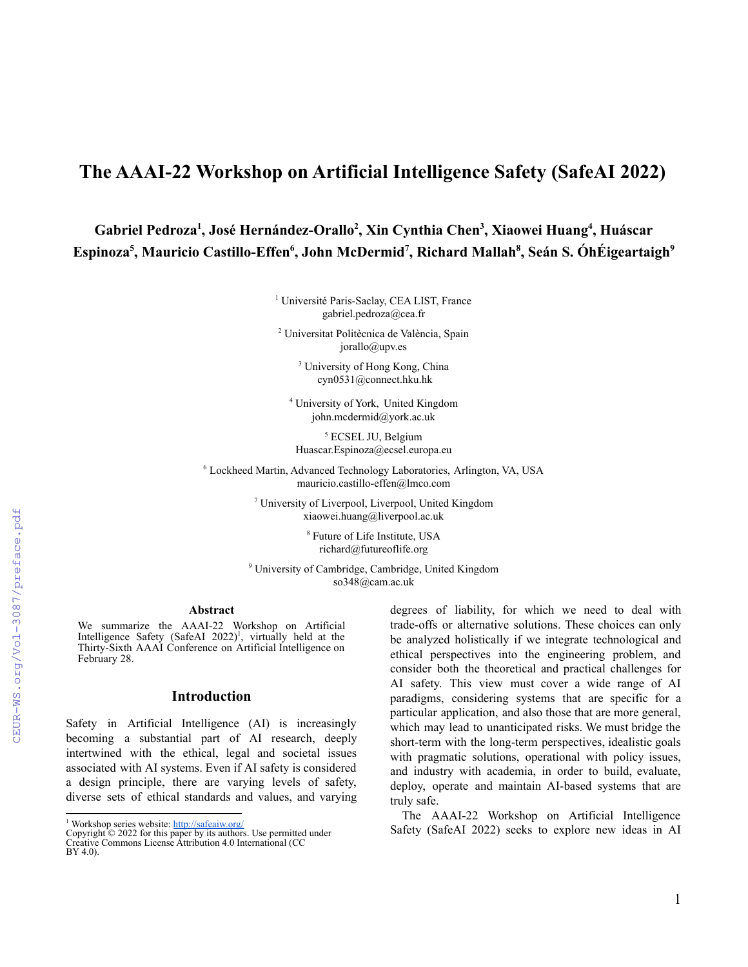# **The AAAI-22 Workshop on Artificial Intelligence Safety (SafeAI 2022)**

**Gabriel Pedroza<sup>1</sup> , José Hernández-Orallo<sup>2</sup> , Xin Cynthia Chen<sup>3</sup> , Xiaowei Huang<sup>4</sup> , Huáscar Espinoza<sup>5</sup> , Mauricio Castillo-Effen<sup>6</sup> , John McDermid<sup>7</sup> , Richard Mallah<sup>8</sup> , Seán S. ÓhÉigeartaigh<sup>9</sup>**

> <sup>1</sup> Université Paris-Saclay, CEA LIST, France gabriel.pedroza@cea.fr

<sup>2</sup> Universitat Politècnica de València, Spain jorallo@upv.es

> <sup>3</sup> University of Hong Kong, China cyn0531@connect.hku.hk

<sup>4</sup> University of York, United Kingdom john.mcdermid@york.ac.uk

<sup>5</sup> ECSEL JU, Belgium Huascar.Espinoza@ecsel.europa.eu

<sup>6</sup> Lockheed Martin, Advanced Technology Laboratories, Arlington, VA, USA mauricio.castillo-effen@lmco.com

> <sup>7</sup> University of Liverpool, Liverpool, United Kingdom xiaowei.huang@liverpool.ac.uk

> > <sup>8</sup> Future of Life Institute, USA richard@futureoflife.org

<sup>9</sup> University of Cambridge, Cambridge, United Kingdom so348@cam.ac.uk

## **Abstract**

We summarize the AAAI-22 Workshop on Artificial Intelligence Safety (SafeAI  $2022$ )<sup>1</sup>, virtually held at the Thirty-Sixth AAAI Conference on Artificial Intelligence on February 28.

### **Introduction**

Safety in Artificial Intelligence (AI) is increasingly becoming a substantial part of AI research, deeply intertwined with the ethical, legal and societal issues associated with AI systems. Even if AI safety is considered a design principle, there are varying levels of safety, diverse sets of ethical standards and values, and varying

<sup>1</sup> Workshop series website: <http://safeaiw.org/>

Copyright © 2022 for this paper by its authors. Use permitted under Creative Commons License Attribution 4.0 International (CC BY 4.0).

degrees of liability, for which we need to deal with trade-offs or alternative solutions. These choices can only be analyzed holistically if we integrate technological and ethical perspectives into the engineering problem, and consider both the theoretical and practical challenges for AI safety. This view must cover a wide range of AI paradigms, considering systems that are specific for a particular application, and also those that are more general, which may lead to unanticipated risks. We must bridge the short-term with the long-term perspectives, idealistic goals with pragmatic solutions, operational with policy issues, and industry with academia, in order to build, evaluate, deploy, operate and maintain AI-based systems that are truly safe.

The AAAI-22 Workshop on Artificial Intelligence Safety (SafeAI 2022) seeks to explore new ideas in AI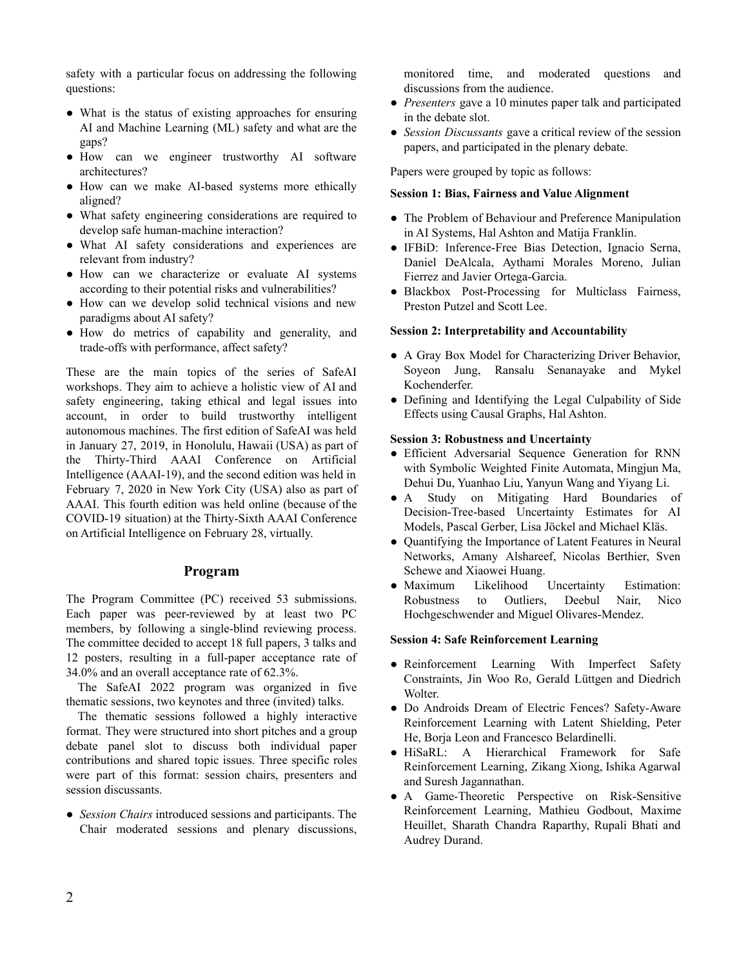safety with a particular focus on addressing the following questions:

- What is the status of existing approaches for ensuring AI and Machine Learning (ML) safety and what are the gaps?
- How can we engineer trustworthy AI software architectures?
- How can we make AI-based systems more ethically aligned?
- What safety engineering considerations are required to develop safe human-machine interaction?
- What AI safety considerations and experiences are relevant from industry?
- How can we characterize or evaluate AI systems according to their potential risks and vulnerabilities?
- How can we develop solid technical visions and new paradigms about AI safety?
- How do metrics of capability and generality, and trade-offs with performance, affect safety?

These are the main topics of the series of SafeAI workshops. They aim to achieve a holistic view of AI and safety engineering, taking ethical and legal issues into account, in order to build trustworthy intelligent autonomous machines. The first edition of SafeAI was held in January 27, 2019, in Honolulu, Hawaii (USA) as part of the Thirty-Third AAAI Conference on Artificial Intelligence (AAAI-19), and the second edition was held in February 7, 2020 in New York City (USA) also as part of AAAI. This fourth edition was held online (because of the COVID-19 situation) at the Thirty-Sixth AAAI Conference on Artificial Intelligence on February 28, virtually.

# **Program**

The Program Committee (PC) received 53 submissions. Each paper was peer-reviewed by at least two PC members, by following a single-blind reviewing process. The committee decided to accept 18 full papers, 3 talks and 12 posters, resulting in a full-paper acceptance rate of 34.0% and an overall acceptance rate of 62.3%.

The SafeAI 2022 program was organized in five thematic sessions, two keynotes and three (invited) talks.

The thematic sessions followed a highly interactive format. They were structured into short pitches and a group debate panel slot to discuss both individual paper contributions and shared topic issues. Three specific roles were part of this format: session chairs, presenters and session discussants.

● *Session Chairs* introduced sessions and participants. The Chair moderated sessions and plenary discussions,

monitored time, and moderated questions and discussions from the audience.

- *Presenters* gave a 10 minutes paper talk and participated in the debate slot.
- *Session Discussants* gave a critical review of the session papers, and participated in the plenary debate.

Papers were grouped by topic as follows:

## **Session 1: Bias, Fairness and Value Alignment**

- The Problem of Behaviour and Preference Manipulation in AI Systems, Hal Ashton and Matija Franklin.
- IFBiD: Inference-Free Bias Detection, Ignacio Serna, Daniel DeAlcala, Aythami Morales Moreno, Julian Fierrez and Javier Ortega-Garcia.
- Blackbox Post-Processing for Multiclass Fairness, Preston Putzel and Scott Lee.

#### **Session 2: Interpretability and Accountability**

- A Gray Box Model for Characterizing Driver Behavior, Soyeon Jung, Ransalu Senanayake and Mykel Kochenderfer.
- Defining and Identifying the Legal Culpability of Side Effects using Causal Graphs, Hal Ashton.

#### **Session 3: Robustness and Uncertainty**

- Efficient Adversarial Sequence Generation for RNN with Symbolic Weighted Finite Automata, Mingjun Ma, Dehui Du, Yuanhao Liu, Yanyun Wang and Yiyang Li.
- A Study on Mitigating Hard Boundaries of Decision-Tree-based Uncertainty Estimates for AI Models, Pascal Gerber, Lisa Jöckel and Michael Kläs.
- Quantifying the Importance of Latent Features in Neural Networks, Amany Alshareef, Nicolas Berthier, Sven Schewe and Xiaowei Huang.
- Maximum Likelihood Uncertainty Estimation: Robustness to Outliers, Deebul Nair, Nico Hochgeschwender and Miguel Olivares-Mendez.

#### **Session 4: Safe Reinforcement Learning**

- Reinforcement Learning With Imperfect Safety Constraints, Jin Woo Ro, Gerald Lüttgen and Diedrich Wolter.
- Do Androids Dream of Electric Fences? Safety-Aware Reinforcement Learning with Latent Shielding, Peter He, Borja Leon and Francesco Belardinelli.
- HiSaRL: A Hierarchical Framework for Safe Reinforcement Learning, Zikang Xiong, Ishika Agarwal and Suresh Jagannathan.
- A Game-Theoretic Perspective on Risk-Sensitive Reinforcement Learning, Mathieu Godbout, Maxime Heuillet, Sharath Chandra Raparthy, Rupali Bhati and Audrey Durand.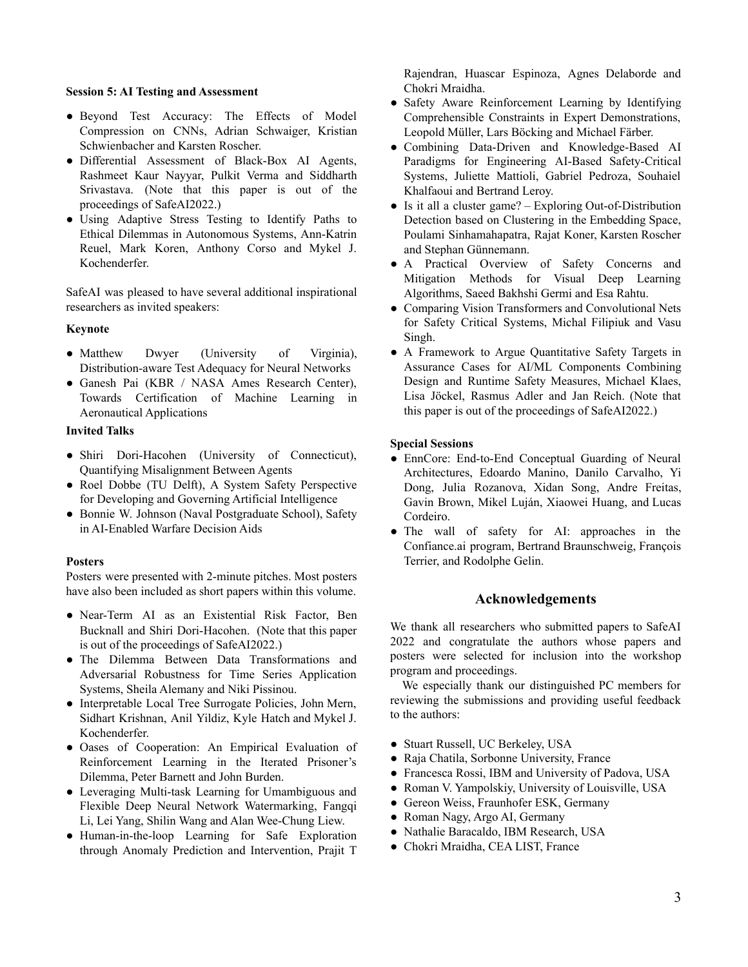## **Session 5: AI Testing and Assessment**

- Beyond Test Accuracy: The Effects of Model Compression on CNNs, Adrian Schwaiger, Kristian Schwienbacher and Karsten Roscher.
- Differential Assessment of Black-Box AI Agents, Rashmeet Kaur Nayyar, Pulkit Verma and Siddharth Srivastava. (Note that this paper is out of the proceedings of SafeAI2022.)
- Using Adaptive Stress Testing to Identify Paths to Ethical Dilemmas in Autonomous Systems, Ann-Katrin Reuel, Mark Koren, Anthony Corso and Mykel J. Kochenderfer.

SafeAI was pleased to have several additional inspirational researchers as invited speakers:

## **Keynote**

- Matthew Dwyer (University of Virginia), Distribution-aware Test Adequacy for Neural Networks
- Ganesh Pai (KBR / NASA Ames Research Center), Towards Certification of Machine Learning in Aeronautical Applications

# **Invited Talks**

- Shiri Dori-Hacohen (University of Connecticut), Quantifying Misalignment Between Agents
- Roel Dobbe (TU Delft), A System Safety Perspective for Developing and Governing Artificial Intelligence
- Bonnie W. Johnson (Naval Postgraduate School), Safety in AI-Enabled Warfare Decision Aids

## **Posters**

Posters were presented with 2-minute pitches. Most posters have also been included as short papers within this volume.

- Near-Term AI as an Existential Risk Factor, Ben Bucknall and Shiri Dori-Hacohen. (Note that this paper is out of the proceedings of SafeAI2022.)
- The Dilemma Between Data Transformations and Adversarial Robustness for Time Series Application Systems, Sheila Alemany and Niki Pissinou.
- Interpretable Local Tree Surrogate Policies, John Mern, Sidhart Krishnan, Anil Yildiz, Kyle Hatch and Mykel J. Kochenderfer.
- Oases of Cooperation: An Empirical Evaluation of Reinforcement Learning in the Iterated Prisoner's Dilemma, Peter Barnett and John Burden.
- Leveraging Multi-task Learning for Umambiguous and Flexible Deep Neural Network Watermarking, Fangqi Li, Lei Yang, Shilin Wang and Alan Wee-Chung Liew.
- Human-in-the-loop Learning for Safe Exploration through Anomaly Prediction and Intervention, Prajit T

Rajendran, Huascar Espinoza, Agnes Delaborde and Chokri Mraidha.

- Safety Aware Reinforcement Learning by Identifying Comprehensible Constraints in Expert Demonstrations, Leopold Müller, Lars Böcking and Michael Färber.
- Combining Data-Driven and Knowledge-Based AI Paradigms for Engineering AI-Based Safety-Critical Systems, Juliette Mattioli, Gabriel Pedroza, Souhaiel Khalfaoui and Bertrand Leroy.
- Is it all a cluster game? Exploring Out-of-Distribution Detection based on Clustering in the Embedding Space, Poulami Sinhamahapatra, Rajat Koner, Karsten Roscher and Stephan Günnemann.
- A Practical Overview of Safety Concerns and Mitigation Methods for Visual Deep Learning Algorithms, Saeed Bakhshi Germi and Esa Rahtu.
- Comparing Vision Transformers and Convolutional Nets for Safety Critical Systems, Michal Filipiuk and Vasu Singh.
- A Framework to Argue Quantitative Safety Targets in Assurance Cases for AI/ML Components Combining Design and Runtime Safety Measures, Michael Klaes, Lisa Jöckel, Rasmus Adler and Jan Reich. (Note that this paper is out of the proceedings of SafeAI2022.)

## **Special Sessions**

- EnnCore: End-to-End Conceptual Guarding of Neural Architectures, Edoardo Manino, Danilo Carvalho, Yi Dong, Julia Rozanova, Xidan Song, Andre Freitas, Gavin Brown, Mikel Luján, Xiaowei Huang, and Lucas Cordeiro.
- The wall of safety for AI: approaches in the Confiance.ai program, Bertrand Braunschweig, François Terrier, and Rodolphe Gelin.

## **Acknowledgements**

We thank all researchers who submitted papers to SafeAI 2022 and congratulate the authors whose papers and posters were selected for inclusion into the workshop program and proceedings.

We especially thank our distinguished PC members for reviewing the submissions and providing useful feedback to the authors:

- Stuart Russell, UC Berkeley, USA
- Raja Chatila, Sorbonne University, France
- Francesca Rossi, IBM and University of Padova, USA
- Roman V. Yampolskiy, University of Louisville, USA
- Gereon Weiss, Fraunhofer ESK, Germany
- Roman Nagy, Argo AI, Germany
- Nathalie Baracaldo, IBM Research, USA
- Chokri Mraidha, CEA LIST, France